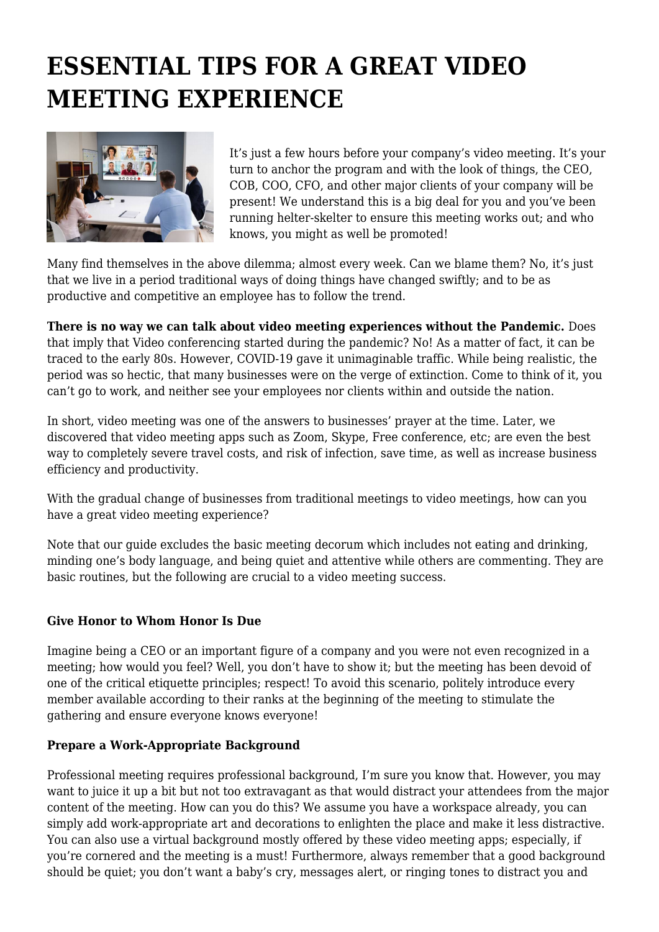# **ESSENTIAL TIPS FOR A GREAT VIDEO MEETING EXPERIENCE**



It's just a few hours before your company's video meeting. It's your turn to anchor the program and with the look of things, the CEO, COB, COO, CFO, and other major clients of your company will be present! We understand this is a big deal for you and you've been running helter-skelter to ensure this meeting works out; and who knows, you might as well be promoted!

Many find themselves in the above dilemma; almost every week. Can we blame them? No, it's just that we live in a period traditional ways of doing things have changed swiftly; and to be as productive and competitive an employee has to follow the trend.

**There is no way we can talk about video meeting experiences without the Pandemic.** Does that imply that Video conferencing started during the pandemic? No! As a matter of fact, it can be traced to the early 80s. However, COVID-19 gave it unimaginable traffic. While being realistic, the period was so hectic, that many businesses were on the verge of extinction. Come to think of it, you can't go to work, and neither see your employees nor clients within and outside the nation.

In short, video meeting was one of the answers to businesses' prayer at the time. Later, we discovered that video meeting apps such as Zoom, Skype, Free conference, etc; are even the best way to completely severe travel costs, and risk of infection, save time, as well as increase business efficiency and productivity.

With the gradual change of businesses from traditional meetings to video meetings, how can you have a great video meeting experience?

Note that our guide excludes the basic meeting decorum which includes not eating and drinking, minding one's body language, and being quiet and attentive while others are commenting. They are basic routines, but the following are crucial to a video meeting success.

## **Give Honor to Whom Honor Is Due**

Imagine being a CEO or an important figure of a company and you were not even recognized in a meeting; how would you feel? Well, you don't have to show it; but the meeting has been devoid of one of the critical etiquette principles; respect! To avoid this scenario, politely introduce every member available according to their ranks at the beginning of the meeting to stimulate the gathering and ensure everyone knows everyone!

### **Prepare a Work-Appropriate Background**

Professional meeting requires professional background, I'm sure you know that. However, you may want to juice it up a bit but not too extravagant as that would distract your attendees from the major content of the meeting. How can you do this? We assume you have a workspace already, you can simply add work-appropriate art and decorations to enlighten the place and make it less distractive. You can also use a virtual background mostly offered by these video meeting apps; especially, if you're cornered and the meeting is a must! Furthermore, always remember that a good background should be quiet; you don't want a baby's cry, messages alert, or ringing tones to distract you and